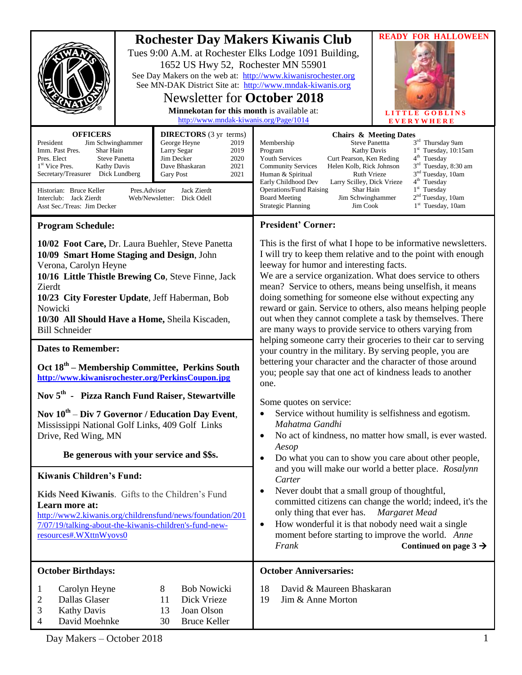|                                                                                                                                                                                                                                                                                                                                                                                                                                                                                                                         | 1652 US Hwy 52, Rochester MN 55901<br>See MN-DAK District Site at: http://www.mndak-kiwanis.org<br><b>Newsletter for October 2018</b><br>Minnekotan for this month is available at:<br>http://www.mndak-kiwanis.org/Page/1014 | <b>READY FOR HALLOWEEN</b><br><b>Rochester Day Makers Kiwanis Club</b><br>Tues 9:00 A.M. at Rochester Elks Lodge 1091 Building,<br>See Day Makers on the web at: http://www.kiwanisrochester.org<br>LITTLE GOBLINS<br><b>EVERYWHERE</b>                                                                                                                                                                                                                                                                                                                                                                                                                                                                                                                                                                                                                                               |  |
|-------------------------------------------------------------------------------------------------------------------------------------------------------------------------------------------------------------------------------------------------------------------------------------------------------------------------------------------------------------------------------------------------------------------------------------------------------------------------------------------------------------------------|-------------------------------------------------------------------------------------------------------------------------------------------------------------------------------------------------------------------------------|---------------------------------------------------------------------------------------------------------------------------------------------------------------------------------------------------------------------------------------------------------------------------------------------------------------------------------------------------------------------------------------------------------------------------------------------------------------------------------------------------------------------------------------------------------------------------------------------------------------------------------------------------------------------------------------------------------------------------------------------------------------------------------------------------------------------------------------------------------------------------------------|--|
| <b>OFFICERS</b><br><b>DIRECTORS</b> (3 yr terms)<br>President<br>George Heyne<br>Jim Schwinghammer<br>2019<br>2019<br>Imm. Past Pres.<br>Shar Hain<br>Larry Segar<br>Jim Decker<br>2020<br>Pres. Elect<br><b>Steve Panetta</b><br>2021<br>1 <sup>st</sup> Vice Pres.<br>Kathy Davis<br>Dave Bhaskaran<br>Secretary/Treasurer Dick Lundberg<br>2021<br><b>Gary Post</b><br>Historian: Bruce Keller<br>Jack Zierdt<br>Pres.Advisor<br>Interclub: Jack Zierdt<br>Web/Newsletter: Dick Odell<br>Asst Sec./Treas: Jim Decker |                                                                                                                                                                                                                               | <b>Chairs &amp; Meeting Dates</b><br>3rd Thursday 9am<br>Membership<br><b>Steve Panettta</b><br>$1st$ Tuesday, 10:15am<br>Program<br><b>Kathy Davis</b><br>$4th$ Tuesday<br>Curt Pearson, Ken Reding<br><b>Youth Services</b><br>3 <sup>rd</sup> Tuesday, 8:30 am<br><b>Community Services</b><br>Helen Kolb, Rick Johnson<br>3 <sup>nd</sup> Tuesday, 10am<br>Human & Spiritual<br><b>Ruth Vrieze</b><br>$4th$ Tuesday<br>Early Childhood Dev<br>Larry Scilley, Dick Vrieze<br>$1st$ Tuesday<br><b>Operations/Fund Raising</b><br>Shar Hain<br>$2nd$ Tuesday, 10am<br><b>Board Meeting</b><br>Jim Schwinghammer<br>1 <sup>st</sup> Tuesday, 10am<br><b>Strategic Planning</b><br>Jim Cook                                                                                                                                                                                            |  |
| <b>Program Schedule:</b>                                                                                                                                                                                                                                                                                                                                                                                                                                                                                                |                                                                                                                                                                                                                               | <b>President' Corner:</b>                                                                                                                                                                                                                                                                                                                                                                                                                                                                                                                                                                                                                                                                                                                                                                                                                                                             |  |
| 10/02 Foot Care, Dr. Laura Buehler, Steve Panetta<br>10/09 Smart Home Staging and Design, John<br>Verona, Carolyn Heyne<br>10/16 Little Thistle Brewing Co, Steve Finne, Jack<br>Zierdt<br>10/23 City Forester Update, Jeff Haberman, Bob<br>Nowicki<br>10/30 All Should Have a Home, Sheila Kiscaden,<br><b>Bill Schneider</b><br><b>Dates to Remember:</b>                                                                                                                                                            |                                                                                                                                                                                                                               | This is the first of what I hope to be informative newsletters.<br>I will try to keep them relative and to the point with enough<br>leeway for humor and interesting facts.<br>We are a service organization. What does service to others<br>mean? Service to others, means being unselfish, it means<br>doing something for someone else without expecting any<br>reward or gain. Service to others, also means helping people<br>out when they cannot complete a task by themselves. There<br>are many ways to provide service to others varying from<br>helping someone carry their groceries to their car to serving                                                                                                                                                                                                                                                              |  |
| Oct 18 <sup>th</sup> – Membership Committee, Perkins South                                                                                                                                                                                                                                                                                                                                                                                                                                                              |                                                                                                                                                                                                                               | your country in the military. By serving people, you are<br>bettering your character and the character of those around<br>you; people say that one act of kindness leads to another<br>one.<br>Some quotes on service:<br>Service without humility is selfishness and egotism.<br>$\bullet$<br>Mahatma Gandhi<br>No act of kindness, no matter how small, is ever wasted.<br>$\bullet$<br>Aesop<br>Do what you can to show you care about other people,<br>$\bullet$<br>and you will make our world a better place. Rosalynn<br>Carter<br>Never doubt that a small group of thoughtful,<br>$\bullet$<br>committed citizens can change the world; indeed, it's the<br>only thing that ever has.<br>Margaret Mead<br>How wonderful it is that nobody need wait a single<br>$\bullet$<br>moment before starting to improve the world. Anne<br>Continued on page $3 \rightarrow$<br>Frank |  |
| http://www.kiwanisrochester.org/PerkinsCoupon.jpg<br>Nov 5 <sup>th</sup> - Pizza Ranch Fund Raiser, Stewartville                                                                                                                                                                                                                                                                                                                                                                                                        |                                                                                                                                                                                                                               |                                                                                                                                                                                                                                                                                                                                                                                                                                                                                                                                                                                                                                                                                                                                                                                                                                                                                       |  |
| Nov $10^{th}$ – Div 7 Governor / Education Day Event,<br>Mississippi National Golf Links, 409 Golf Links<br>Drive, Red Wing, MN<br>Be generous with your service and \$\$s.                                                                                                                                                                                                                                                                                                                                             |                                                                                                                                                                                                                               |                                                                                                                                                                                                                                                                                                                                                                                                                                                                                                                                                                                                                                                                                                                                                                                                                                                                                       |  |
| Kiwanis Children's Fund:                                                                                                                                                                                                                                                                                                                                                                                                                                                                                                |                                                                                                                                                                                                                               |                                                                                                                                                                                                                                                                                                                                                                                                                                                                                                                                                                                                                                                                                                                                                                                                                                                                                       |  |
| Kids Need Kiwanis. Gifts to the Children's Fund<br>Learn more at:<br>http://www2.kiwanis.org/childrensfund/news/foundation/201<br>7/07/19/talking-about-the-kiwanis-children's-fund-new-<br>resources#.WXttnWyovs0                                                                                                                                                                                                                                                                                                      |                                                                                                                                                                                                                               |                                                                                                                                                                                                                                                                                                                                                                                                                                                                                                                                                                                                                                                                                                                                                                                                                                                                                       |  |
| <b>October Birthdays:</b>                                                                                                                                                                                                                                                                                                                                                                                                                                                                                               |                                                                                                                                                                                                                               | <b>October Anniversaries:</b>                                                                                                                                                                                                                                                                                                                                                                                                                                                                                                                                                                                                                                                                                                                                                                                                                                                         |  |
| Carolyn Heyne<br>$\bf{l}$<br>Dallas Glaser<br>2<br><b>Kathy Davis</b><br>3<br>David Moehnke<br>4                                                                                                                                                                                                                                                                                                                                                                                                                        | <b>Bob Nowicki</b><br>8<br>11<br>Dick Vrieze<br>Joan Olson<br>13<br><b>Bruce Keller</b><br>30                                                                                                                                 | David & Maureen Bhaskaran<br>18<br>19<br>Jim & Anne Morton                                                                                                                                                                                                                                                                                                                                                                                                                                                                                                                                                                                                                                                                                                                                                                                                                            |  |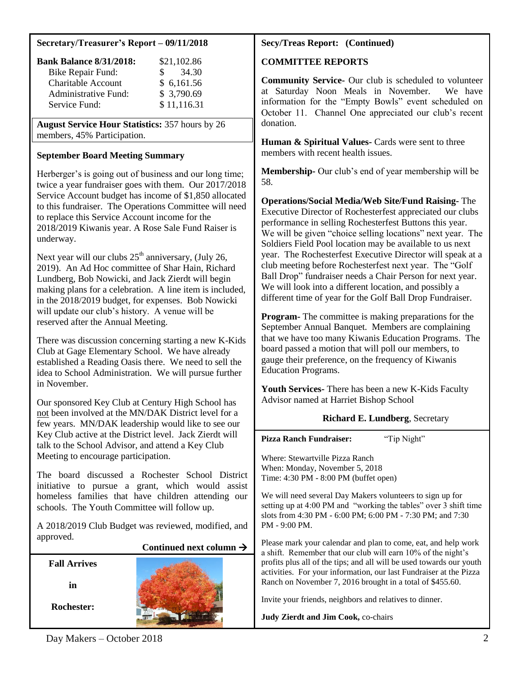## **Secretary/Treasurer's Report – 09/11/2018**

| <b>Bank Balance 8/31/2018:</b> | \$21,102.86  |
|--------------------------------|--------------|
| <b>Bike Repair Fund:</b>       | 34.30<br>SS. |
| <b>Charitable Account</b>      | \$6,161.56   |
| <b>Administrative Fund:</b>    | \$3,790.69   |
| Service Fund:                  | \$11,116.31  |

**August Service Hour Statistics:** 357 hours by 26 members, 45% Participation.

## **September Board Meeting Summary**

Herberger's is going out of business and our long time; twice a year fundraiser goes with them. Our 2017/2018 Service Account budget has income of \$1,850 allocated to this fundraiser. The Operations Committee will need to replace this Service Account income for the 2018/2019 Kiwanis year. A Rose Sale Fund Raiser is underway.

Next year will our clubs  $25<sup>th</sup>$  anniversary, (July 26, 2019). An Ad Hoc committee of Shar Hain, Richard Lundberg, Bob Nowicki, and Jack Zierdt will begin making plans for a celebration. A line item is included, in the 2018/2019 budget, for expenses. Bob Nowicki will update our club's history. A venue will be reserved after the Annual Meeting.

There was discussion concerning starting a new K-Kids Club at Gage Elementary School. We have already established a Reading Oasis there. We need to sell the idea to School Administration. We will pursue further in November.

Our sponsored Key Club at Century High School has not been involved at the MN/DAK District level for a few years. MN/DAK leadership would like to see our Key Club active at the District level. Jack Zierdt will talk to the School Advisor, and attend a Key Club Meeting to encourage participation.

The board discussed a Rochester School District initiative to pursue a grant, which would assist homeless families that have children attending our schools. The Youth Committee will follow up.

A 2018/2019 Club Budget was reviewed, modified, and approved.

## **Continued next column**

**Fall Arrives**

**in**

**Rochester:**



## **Secy/Treas Report: (Continued)**

## **COMMITTEE REPORTS**

**Community Service-** Our club is scheduled to volunteer at Saturday Noon Meals in November. We have information for the "Empty Bowls" event scheduled on October 11. Channel One appreciated our club's recent donation.

**Human & Spiritual Values-** Cards were sent to three members with recent health issues.

**Membership-** Our club's end of year membership will be 58.

**Operations/Social Media/Web Site/Fund Raising-** The Executive Director of Rochesterfest appreciated our clubs performance in selling Rochesterfest Buttons this year. We will be given "choice selling locations" next year. The Soldiers Field Pool location may be available to us next year. The Rochesterfest Executive Director will speak at a club meeting before Rochesterfest next year. The "Golf Ball Drop" fundraiser needs a Chair Person for next year. We will look into a different location, and possibly a different time of year for the Golf Ball Drop Fundraiser.

**Program-** The committee is making preparations for the September Annual Banquet. Members are complaining that we have too many Kiwanis Education Programs. The board passed a motion that will poll our members, to gauge their preference, on the frequency of Kiwanis Education Programs.

**Youth Services-** There has been a new K-Kids Faculty Advisor named at Harriet Bishop School

## **Richard E. Lundberg**, Secretary

**Pizza Ranch Fundraiser:** "Tip Night"

Where: Stewartville Pizza Ranch When: Monday, November 5, 2018 Time: 4:30 PM - 8:00 PM (buffet open)

We will need several Day Makers volunteers to sign up for setting up at 4:00 PM and "working the tables" over 3 shift time slots from 4:30 PM - 6:00 PM; 6:00 PM - 7:30 PM; and 7:30 PM - 9:00 PM.

Please mark your calendar and plan to come, eat, and help work a shift. Remember that our club will earn 10% of the night's profits plus all of the tips; and all will be used towards our youth activities. For your information, our last Fundraiser at the Pizza Ranch on November 7, 2016 brought in a total of \$455.60.

Invite your friends, neighbors and relatives to dinner.

**Judy Zierdt and Jim Cook,** co-chairs

Day Makers – October 2018 2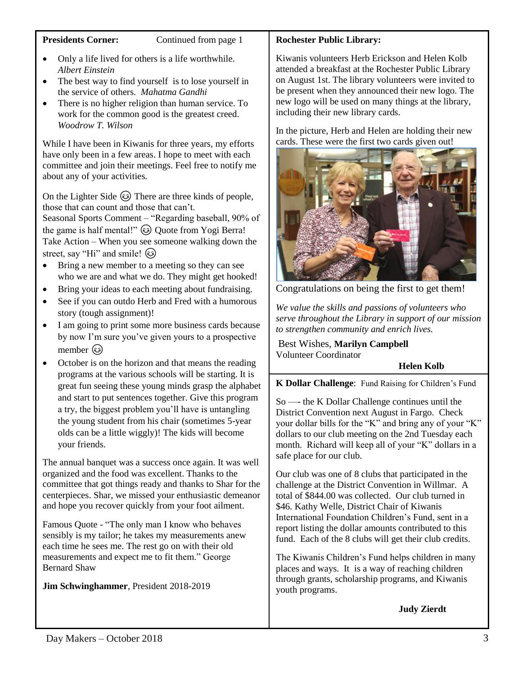### **Presidents Corner:** Continued from page 1

- Only a life lived for others is a life worthwhile. *Albert Einstein*
- The best way to find yourself is to lose yourself in the service of others. *Mahatma Gandhi*
- There is no higher religion than human service. To work for the common good is the greatest creed. *Woodrow T. Wilson*

While I have been in Kiwanis for three years, my efforts have only been in a few areas. I hope to meet with each committee and join their meetings. Feel free to notify me about any of your activities.

On the Lighter Side  $\odot$  There are three kinds of people, those that can count and those that can't.

Seasonal Sports Comment – "Regarding baseball, 90% of the game is half mental!"  $\circled{a}$  Quote from Yogi Berra! Take Action – When you see someone walking down the street, say "Hi" and smile!  $\circled{6}$ 

- Bring a new member to a meeting so they can see who we are and what we do. They might get hooked!
- Bring your ideas to each meeting about fundraising.
- See if you can outdo Herb and Fred with a humorous story (tough assignment)!
- I am going to print some more business cards because by now I'm sure you've given yours to a prospective member ( $\odot$ )
- October is on the horizon and that means the reading programs at the various schools will be starting. It is great fun seeing these young minds grasp the alphabet and start to put sentences together. Give this program a try, the biggest problem you'll have is untangling the young student from his chair (sometimes 5-year olds can be a little wiggly)! The kids will become your friends.

The annual banquet was a success once again. It was well organized and the food was excellent. Thanks to the committee that got things ready and thanks to Shar for the centerpieces. Shar, we missed your enthusiastic demeanor and hope you recover quickly from your foot ailment.

Famous Quote - "The only man I know who behaves sensibly is my tailor; he takes my measurements anew each time he sees me. The rest go on with their old measurements and expect me to fit them." George Bernard Shaw

**Jim Schwinghammer**, President 2018-2019

## **Rochester Public Library:**

Kiwanis volunteers Herb Erickson and Helen Kolb attended a breakfast at the Rochester Public Library on August 1st. The library volunteers were invited to be present when they announced their new logo. The new logo will be used on many things at the library, including their new library cards.

In the picture, Herb and Helen are holding their new cards. These were the first two cards given out!



Congratulations on being the first to get them!

*We value the skills and passions of volunteers who serve throughout the Library in support of our mission to strengthen community and enrich lives.*

Best Wishes, **Marilyn Campbell** Volunteer Coordinator

## **Helen Kolb**

**K Dollar Challenge**: Fund Raising for Children's Fund

So —- the K Dollar Challenge continues until the District Convention next August in Fargo. Check your dollar bills for the "K" and bring any of your "K" dollars to our club meeting on the 2nd Tuesday each month. Richard will keep all of your "K" dollars in a safe place for our club.

Our club was one of 8 clubs that participated in the challenge at the District Convention in Willmar. A total of \$844.00 was collected. Our club turned in \$46. Kathy Welle, District Chair of Kiwanis International Foundation Children's Fund, sent in a report listing the dollar amounts contributed to this fund. Each of the 8 clubs will get their club credits.

The Kiwanis Children's Fund helps children in many places and ways. It is a way of reaching children through grants, scholarship programs, and Kiwanis youth programs.

## **Judy Zierdt**